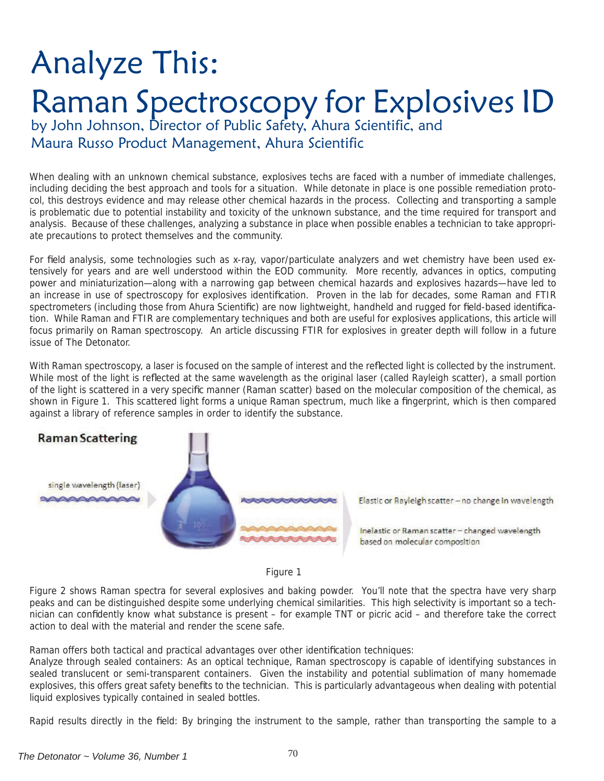## Analyze This: Raman Spectroscopy for Explosives ID

by John Johnson, Director of Public Safety, Ahura Scientific, and Maura Russo Product Management, Ahura Scientific

When dealing with an unknown chemical substance, explosives techs are faced with a number of immediate challenges, including deciding the best approach and tools for a situation. While detonate in place is one possible remediation protocol, this destroys evidence and may release other chemical hazards in the process. Collecting and transporting a sample is problematic due to potential instability and toxicity of the unknown substance, and the time required for transport and analysis. Because of these challenges, analyzing a substance in place when possible enables a technician to take appropriate precautions to protect themselves and the community.

For field analysis, some technologies such as x-ray, vapor/particulate analyzers and wet chemistry have been used extensively for years and are well understood within the EOD community. More recently, advances in optics, computing power and miniaturization—along with a narrowing gap between chemical hazards and explosives hazards—have led to an increase in use of spectroscopy for explosives identification. Proven in the lab for decades, some Raman and FTIR spectrometers (including those from Ahura Scientific) are now lightweight, handheld and rugged for field-based identification. While Raman and FTIR are complementary techniques and both are useful for explosives applications, this article will focus primarily on Raman spectroscopy. An article discussing FTIR for explosives in greater depth will follow in a future issue of The Detonator.

With Raman spectroscopy, a laser is focused on the sample of interest and the reflected light is collected by the instrument. While most of the light is reflected at the same wavelength as the original laser (called Rayleigh scatter), a small portion of the light is scattered in a very specific manner (Raman scatter) based on the molecular composition of the chemical, as shown in Figure 1. This scattered light forms a unique Raman spectrum, much like a fingerprint, which is then compared against a library of reference samples in order to identify the substance.



Elastic or Rayleigh scatter - no change in wavelength

Inelastic or Raman scatter - changed wavelength based on molecular composition

Figure 1

Figure 2 shows Raman spectra for several explosives and baking powder. You'll note that the spectra have very sharp peaks and can be distinguished despite some underlying chemical similarities. This high selectivity is important so a technician can confidently know what substance is present – for example TNT or picric acid – and therefore take the correct action to deal with the material and render the scene safe.

Raman offers both tactical and practical advantages over other identification techniques:

Analyze through sealed containers: As an optical technique, Raman spectroscopy is capable of identifying substances in sealed translucent or semi-transparent containers. Given the instability and potential sublimation of many homemade explosives, this offers great safety benefits to the technician. This is particularly advantageous when dealing with potential liquid explosives typically contained in sealed bottles.

Rapid results directly in the field: By bringing the instrument to the sample, rather than transporting the sample to a